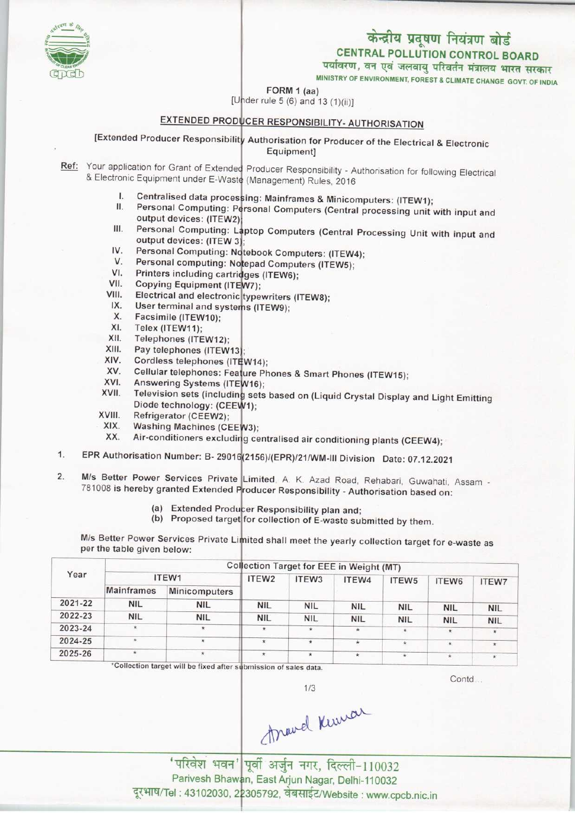## केन्द्रीय प्रदूषण नियंत्रण बोर्ड **CENTRAL POLLUTION CONTROL BOARD** पर्यावरण, वन एवं जलवायु परिवर्तन मंत्रालय भारत सरकार

MINISTRY OF ENVIRONMENT, FOREST & CLIMATE CHANGE GOVT. OF INDIA

FORM 1 (aa)



[Under rule 5 (6) and 13 (1)(ii)]

# EXTENDED PRODUCER RESPONSIBILITY- AUTHORISATION

[Extended Producer Responsibility Authorisation for Producer of the Electrical & Electronic Equipment]

- Ref: Your application for Grant of Extended Producer Responsibility Authorisation for following Electrical & Electronic Equipment under E-Waste (Management) Rules, 2016
	- L. Centralised data processing: Mainframes & Minicomputers: (ITEW1);
	- Personal Computing: Personal Computers (Central processing unit with input and П. output devices: (ITEW2);
	- Personal Computing: Laptop Computers (Central Processing Unit with input and Ш. output devices: (ITEW 3);
	- IV. Personal Computing: Notebook Computers: (ITEW4);  $V_{\cdot}$
	- Personal computing: Notepad Computers (ITEW5);  $VI.$
	- Printers including cartridges (ITEW6);
	- VII. Copying Equipment (ITEW7):
	- VIII. Electrical and electronic typewriters (ITEW8);
	- $IX.$ User terminal and systems (ITEW9):
	- X. Facsimile (ITEW10):
	- XI. Telex (ITEW11);
	- XII. Telephones (ITEW12):
	- XIII. Pay telephones (ITEW13):
	- XIV. Cordless telephones (ITEW14);
	- Cellular telephones: Feature Phones & Smart Phones (ITEW15); XV.
	- Answering Systems (ITEW16); XVI.
	- Television sets (including sets based on (Liquid Crystal Display and Light Emitting XVII. Diode technology: (CEEW1);
	- XVIII. Refrigerator (CEEW2);
	- XIX. Washing Machines (CEEW3);
	- XX. Air-conditioners excluding centralised air conditioning plants (CEEW4);
- EPR Authorisation Number: B- 29016(2156)/(EPR)/21/WM-III Division Date: 07.12.2021 1.
- M/s Better Power Services Private Limited, A. K. Azad Road, Rehabari, Guwahati, Assam - $2.$ 781008 is hereby granted Extended Producer Responsibility - Authorisation based on:
	- (a) Extended Producer Responsibility plan and;

(b) Proposed target for collection of E-waste submitted by them.

M/s Better Power Services Private Limited shall meet the yearly collection target for e-waste as per the table given below:

| Year    | Collection Target for EEE in Weight (MT) |               |                   |                   |            |                   |            |              |  |  |
|---------|------------------------------------------|---------------|-------------------|-------------------|------------|-------------------|------------|--------------|--|--|
|         |                                          | ITEW1         | ITEW <sub>2</sub> | ITEW <sub>3</sub> | ITEW4      | ITEW <sub>5</sub> | ITEW6      | <b>ITEW7</b> |  |  |
|         | Mainframes                               | Minicomputers |                   |                   |            |                   |            |              |  |  |
| 2021-22 | <b>NIL</b>                               | <b>NIL</b>    | <b>NIL</b>        | <b>NIL</b>        | <b>NIL</b> | <b>NIL</b>        | <b>NIL</b> | <b>NIL</b>   |  |  |
| 2022-23 | <b>NIL</b>                               | <b>NIL</b>    | <b>NIL</b>        | <b>NIL</b>        | <b>NIL</b> | <b>NIL</b>        | <b>NIL</b> | <b>NIL</b>   |  |  |
| 2023-24 | $\ast$                                   | $\star$       | $\star$           | $\star$           | w.         | $\star$           | $\star$    | $\star$      |  |  |
| 2024-25 | $\star$                                  | $\star$       | $\star$           | $\star$           | *          | $\star$           | $\star$    | $\star$      |  |  |
| 2025-26 | $\star$                                  | $\star$       | $\star$           | $\star$           | $*$        | $\star$           | $\star$    | $\star$      |  |  |

\*Collection target will be fixed after submission of sales data.

Contd

Arravel Kuman

 $1/3$ 

'परिवेश भवन' पूर्वी अर्जुन नगर, दिल्ली-110032 Parivesh Bhawan, East Arjun Nagar, Delhi-110032 दूरभाष/Tel: 43102030, 22305792, वेबसाईट/Website: www.cpcb.nic.in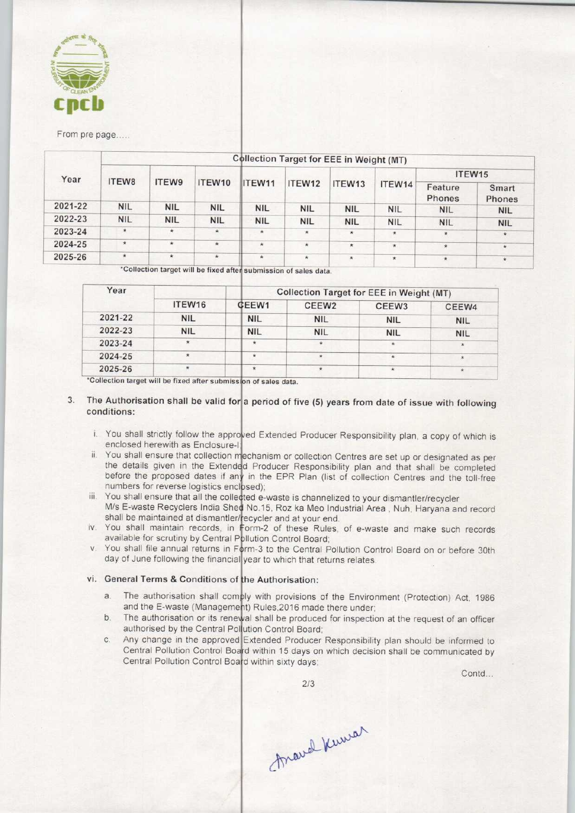

From pre page.....

| Year    | <b>Collection Target for EEE in Weight (MT)</b> |            |            |               |            |            |            |                   |                 |  |  |
|---------|-------------------------------------------------|------------|------------|---------------|------------|------------|------------|-------------------|-----------------|--|--|
|         | ITEW8                                           | ITEW9      | ITEW10     | <b>ITEW11</b> | ITEW12     | ITEW13     | ITEW14     | ITEW15            |                 |  |  |
|         |                                                 |            |            |               |            |            |            | Feature<br>Phones | Smart<br>Phones |  |  |
| 2021-22 | <b>NIL</b>                                      | <b>NIL</b> | <b>NIL</b> | <b>NIL</b>    | <b>NIL</b> | <b>NIL</b> | <b>NIL</b> | <b>NIL</b>        | <b>NIL</b>      |  |  |
| 2022-23 | <b>NIL</b>                                      | <b>NIL</b> | <b>NIL</b> | <b>NIL</b>    | <b>NIL</b> | <b>NIL</b> | <b>NIL</b> | <b>NIL</b>        | <b>NIL</b>      |  |  |
| 2023-24 | $\star$                                         | $\star$    | $\star$    | $\star$       | $\star$    | $\star$    | $\star$    | $\star$           | $^\star$        |  |  |
| 2024-25 | $\star$                                         | $\star$    | $\star$    | $\star$       | $\star$    | $\star$    | $\star$    | $\star$           | $\star$         |  |  |
| 2025-26 | $\star$                                         | $\star$    | $\star$    | $\star$       | $\star$    | $\star$    | $\star$    | $\star$           | $\star$         |  |  |

ixed after submission of sales data.

| Year    |                    | Collection Target for EEE in Weight (MT) |                   |                   |            |  |  |  |
|---------|--------------------|------------------------------------------|-------------------|-------------------|------------|--|--|--|
|         | ITEW <sub>16</sub> | <b>CEEW1</b>                             | CEEW <sub>2</sub> | CEEW <sub>3</sub> | CEEW4      |  |  |  |
| 2021-22 | <b>NIL</b>         | <b>NIL</b>                               | <b>NIL</b>        | <b>NIL</b>        | <b>NIL</b> |  |  |  |
| 2022-23 | <b>NIL</b>         | <b>NIL</b>                               | <b>NIL</b>        | <b>NIL</b>        | <b>NIL</b> |  |  |  |
| 2023-24 |                    |                                          |                   | $\star$           |            |  |  |  |
| 2024-25 |                    |                                          |                   |                   | 老          |  |  |  |
| 2025-26 |                    |                                          |                   |                   |            |  |  |  |

\*Collection target will be fixed after submission of sales data.

#### 3. The Authorisation shall be valid for a period of five (5) years from date of issue with following conditions:

- i. You shall strictly follow the approved Extended Producer Responsibility plan, a copy of which is enclosed herewith as Enclosure-I
- ii. You shall ensure that collection mechanism or collection Centres are set up or designated as per the details given in the Extended Producer Responsibility plan and that shall be completed before the proposed dates if any in the EPR Plan (list of collection Centres and the toll-free numbers for reverse logistics enclosed);
- iii. You shall ensure that all the collected e-waste is channelized to your dismantler/recycler M/s E-waste Recyclers India Shed No.15, Roz ka Meo Industrial Area, Nuh, Haryana and record shall be maintained at dismantler/recycler and at your end.
- iv. You shall maintain records, in Form-2 of these Rules, of e-waste and make such records available for scrutiny by Central Pollution Control Board
- v. You shall file annual returns in Form-3 to the Central Pollution Control Board on or before 30th day of June following the financial year to which that returns relates

### vi. General Terms & Conditions of the Authorisation:

- General Terms & Conditions of the Authorisation:<br>a. The authorisation shall comply with provisions of the Environment (Protection) Act, 1986 and the E-waste (Management) Rules,2016 made there under al shall be provisions of the Environment (Protection) Act, 1986<br>and the E-waste (Management) Rules, 2016 made there under;<br>b. The authorisation or its renewal shall be produced for inspection at the request of an officer<br>
- External Political Board<br>
authorised by the Central Politician Control Board<br>
C. Any change in the approved Extended Producer<br>
Central Politican Control Board within 15 down on
- Any change in the approved Extended Producer Responsibility plan should be informed to Central Pollution Control Board within 15 days on which decision shall be communicated by Central Pollution Control Board within sixty days

Contd...

Aravel Kuwar

2/3